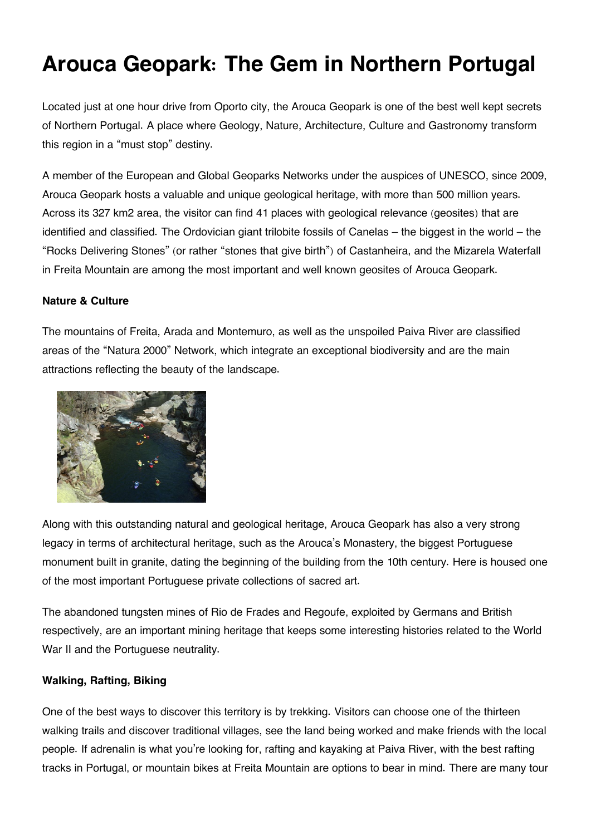# **Arouca Geopark: The Gem in Northern Portugal**

Located just at one hour drive from Oporto city, the Arouca Geopark is one of the best well kept secrets of Northern Portugal. A place where Geology, Nature, Architecture, Culture and Gastronomy transform this region in a "must stop" destiny.

A member of the European and Global Geoparks Networks under the auspices of UNESCO, since 2009, Arouca Geopark hosts a valuable and unique geological heritage, with more than 500 million years. Across its 327 km2 area, the visitor can find 41 places with geological relevance (geosites) that are identified and classified. The Ordovician giant trilobite fossils of Canelas – the biggest in the world – the "Rocks Delivering Stones" (or rather "stones that give birth") of Castanheira, and the Mizarela Waterfall in Freita Mountain are among the most important and well known geosites of Arouca Geopark.

### **Nature & Culture**

The mountains of Freita, Arada and Montemuro, as well as the unspoiled Paiva River are classified areas of the "Natura 2000" Network, which integrate an exceptional biodiversity and are the main attractions reflecting the beauty of the landscape.



Along with this outstanding natural and geological heritage, Arouca Geopark has also a very strong legacy in terms of architectural heritage, such as the Arouca's Monastery, the biggest Portuguese monument built in granite, dating the beginning of the building from the 10th century. Here is housed one of the most important Portuguese private collections of sacred art.

The abandoned tungsten mines of Rio de Frades and Regoufe, exploited by Germans and British respectively, are an important mining heritage that keeps some interesting histories related to the World War II and the Portuguese neutrality.

## **Walking, Rafting, Biking**

One of the best ways to discover this territory is by trekking. Visitors can choose one of the thirteen walking trails and discover traditional villages, see the land being worked and make friends with the local people. If adrenalin is what you're looking for, rafting and kayaking at Paiva River, with the best rafting tracks in Portugal, or mountain bikes at Freita Mountain are options to bear in mind. There are many tour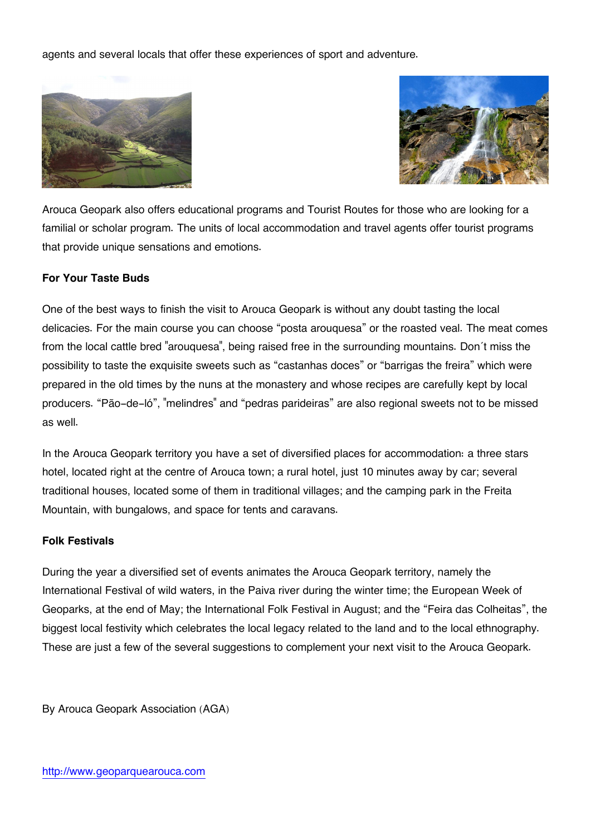agents and several locals that offer these experiences of sport and adventure.





Arouca Geopark also offers educational programs and Tourist Routes for those who are looking for a familial or scholar program. The units of local accommodation and travel agents offer tourist programs that provide unique sensations and emotions.

## **For Your Taste Buds**

One of the best ways to finish the visit to Arouca Geopark is without any doubt tasting the local delicacies. For the main course you can choose "posta arouquesa" or the roasted veal. The meat comes from the local cattle bred "arouquesa", being raised free in the surrounding mountains. Don´t miss the possibility to taste the exquisite sweets such as "castanhas doces" or "barrigas the freira" which were prepared in the old times by the nuns at the monastery and whose recipes are carefully kept by local producers. "Pão-de-ló", "melindres" and "pedras parideiras" are also regional sweets not to be missed as well.

In the Arouca Geopark territory you have a set of diversified places for accommodation: a three stars hotel, located right at the centre of Arouca town; a rural hotel, just 10 minutes away by car; several traditional houses, located some of them in traditional villages; and the camping park in the Freita Mountain, with bungalows, and space for tents and caravans.

### **Folk Festivals**

During the year a diversified set of events animates the Arouca Geopark territory, namely the International Festival of wild waters, in the Paiva river during the winter time; the European Week of Geoparks, at the end of May; the International Folk Festival in August; and the "Feira das Colheitas", the biggest local festivity which celebrates the local legacy related to the land and to the local ethnography. These are just a few of the several suggestions to complement your next visit to the Arouca Geopark.

By Arouca Geopark Association (AGA)